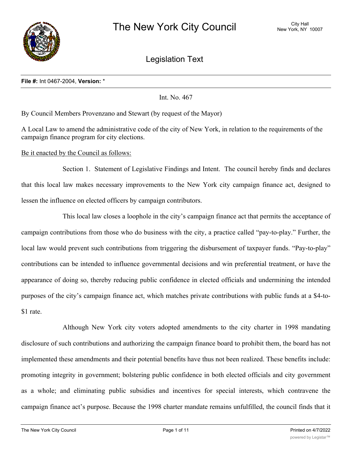

Legislation Text

#### **File #:** Int 0467-2004, **Version:** \*

Int. No. 467

By Council Members Provenzano and Stewart (by request of the Mayor)

A Local Law to amend the administrative code of the city of New York, in relation to the requirements of the campaign finance program for city elections.

# Be it enacted by the Council as follows:

Section 1. Statement of Legislative Findings and Intent. The council hereby finds and declares that this local law makes necessary improvements to the New York city campaign finance act, designed to lessen the influence on elected officers by campaign contributors.

This local law closes a loophole in the city's campaign finance act that permits the acceptance of campaign contributions from those who do business with the city, a practice called "pay-to-play." Further, the local law would prevent such contributions from triggering the disbursement of taxpayer funds. "Pay-to-play" contributions can be intended to influence governmental decisions and win preferential treatment, or have the appearance of doing so, thereby reducing public confidence in elected officials and undermining the intended purposes of the city's campaign finance act, which matches private contributions with public funds at a \$4-to- \$1 rate.

Although New York city voters adopted amendments to the city charter in 1998 mandating disclosure of such contributions and authorizing the campaign finance board to prohibit them, the board has not implemented these amendments and their potential benefits have thus not been realized. These benefits include: promoting integrity in government; bolstering public confidence in both elected officials and city government as a whole; and eliminating public subsidies and incentives for special interests, which contravene the campaign finance act's purpose. Because the 1998 charter mandate remains unfulfilled, the council finds that it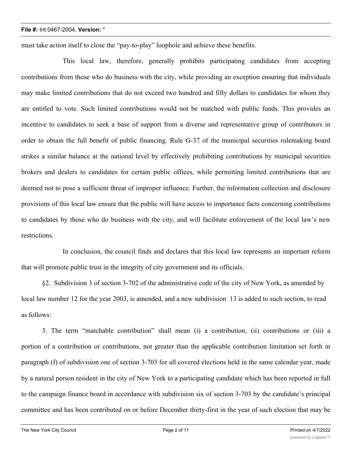must take action itself to close the "pay-to-play" loophole and achieve these benefits.

This local law, therefore, generally prohibits participating candidates from accepting contributions from those who do business with the city, while providing an exception ensuring that individuals may make limited contributions that do not exceed two hundred and fifty dollars to candidates for whom they are entitled to vote. Such limited contributions would not be matched with public funds. This provides an incentive to candidates to seek a base of support from a diverse and representative group of contributors in order to obtain the full benefit of public financing. Rule G-37 of the municipal securities rulemaking board strikes a similar balance at the national level by effectively prohibiting contributions by municipal securities brokers and dealers to candidates for certain public offices, while permitting limited contributions that are deemed not to pose a sufficient threat of improper influence. Further, the information collection and disclosure provisions of this local law ensure that the public will have access to importance facts concerning contributions to candidates by those who do business with the city, and will facilitate enforcement of the local law's new restrictions.

In conclusion, the council finds and declares that this local law represents an important reform that will promote public trust in the integrity of city government and its officials.

§2. Subdivision 3 of section 3-702 of the administrative code of the city of New York, as amended by local law number 12 for the year 2003, is amended, and a new subdivision 13 is added to such section, to read as follows:

3. The term "matchable contribution" shall mean (i) a contribution, (ii) contributions or (iii) a portion of a contribution or contributions, not greater than the applicable contribution limitation set forth in paragraph (f) of subdivision one of section 3-703 for all covered elections held in the same calendar year, made by a natural person resident in the city of New York to a participating candidate which has been reported in full to the campaign finance board in accordance with subdivision six of section 3-703 by the candidate's principal committee and has been contributed on or before December thirty-first in the year of such election that may be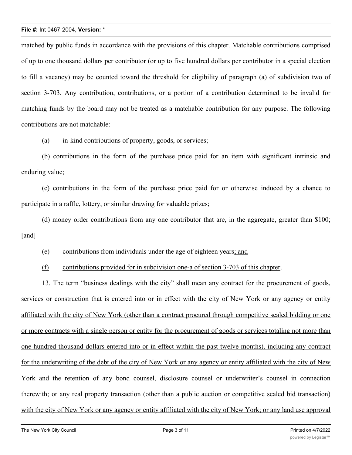matched by public funds in accordance with the provisions of this chapter. Matchable contributions comprised of up to one thousand dollars per contributor (or up to five hundred dollars per contributor in a special election to fill a vacancy) may be counted toward the threshold for eligibility of paragraph (a) of subdivision two of section 3-703. Any contribution, contributions, or a portion of a contribution determined to be invalid for matching funds by the board may not be treated as a matchable contribution for any purpose. The following contributions are not matchable:

(a) in-kind contributions of property, goods, or services;

(b) contributions in the form of the purchase price paid for an item with significant intrinsic and enduring value;

(c) contributions in the form of the purchase price paid for or otherwise induced by a chance to participate in a raffle, lottery, or similar drawing for valuable prizes;

(d) money order contributions from any one contributor that are, in the aggregate, greater than \$100; [and]

(e) contributions from individuals under the age of eighteen years; and

(f) contributions provided for in subdivision one-a of section 3-703 of this chapter.

13. The term "business dealings with the city" shall mean any contract for the procurement of goods, services or construction that is entered into or in effect with the city of New York or any agency or entity affiliated with the city of New York (other than a contract procured through competitive sealed bidding or one or more contracts with a single person or entity for the procurement of goods or services totaling not more than one hundred thousand dollars entered into or in effect within the past twelve months), including any contract for the underwriting of the debt of the city of New York or any agency or entity affiliated with the city of New York and the retention of any bond counsel, disclosure counsel or underwriter's counsel in connection therewith; or any real property transaction (other than a public auction or competitive sealed bid transaction) with the city of New York or any agency or entity affiliated with the city of New York; or any land use approval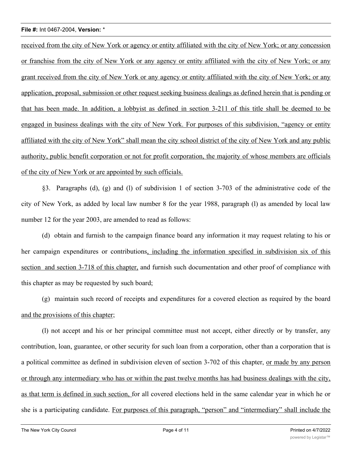received from the city of New York or agency or entity affiliated with the city of New York; or any concession or franchise from the city of New York or any agency or entity affiliated with the city of New York; or any grant received from the city of New York or any agency or entity affiliated with the city of New York; or any application, proposal, submission or other request seeking business dealings as defined herein that is pending or that has been made. In addition, a lobbyist as defined in section 3-211 of this title shall be deemed to be engaged in business dealings with the city of New York. For purposes of this subdivision, "agency or entity affiliated with the city of New York" shall mean the city school district of the city of New York and any public authority, public benefit corporation or not for profit corporation, the majority of whose members are officials of the city of New York or are appointed by such officials.

§3. Paragraphs (d), (g) and (l) of subdivision 1 of section 3-703 of the administrative code of the city of New York, as added by local law number 8 for the year 1988, paragraph (l) as amended by local law number 12 for the year 2003, are amended to read as follows:

(d) obtain and furnish to the campaign finance board any information it may request relating to his or her campaign expenditures or contributions, including the information specified in subdivision six of this section and section 3-718 of this chapter, and furnish such documentation and other proof of compliance with this chapter as may be requested by such board;

(g) maintain such record of receipts and expenditures for a covered election as required by the board and the provisions of this chapter;

(l) not accept and his or her principal committee must not accept, either directly or by transfer, any contribution, loan, guarantee, or other security for such loan from a corporation, other than a corporation that is a political committee as defined in subdivision eleven of section 3-702 of this chapter, <u>or made by any person</u> or through any intermediary who has or within the past twelve months has had business dealings with the city, as that term is defined in such section, for all covered elections held in the same calendar year in which he or she is a participating candidate. For purposes of this paragraph, "person" and "intermediary" shall include the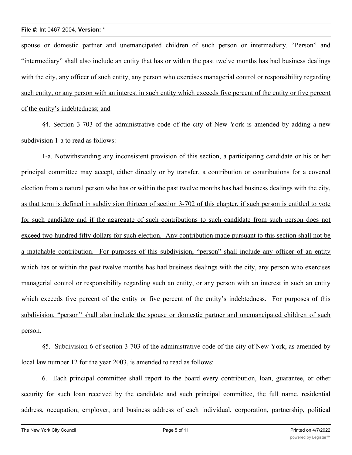spouse or domestic partner and unemancipated children of such person or intermediary. "Person" and "intermediary" shall also include an entity that has or within the past twelve months has had business dealings with the city, any officer of such entity, any person who exercises managerial control or responsibility regarding such entity, or any person with an interest in such entity which exceeds five percent of the entity or five percent of the entity's indebtedness; and

§4. Section 3-703 of the administrative code of the city of New York is amended by adding a new subdivision 1-a to read as follows:

1-a. Notwithstanding any inconsistent provision of this section, a participating candidate or his or her principal committee may accept, either directly or by transfer, a contribution or contributions for a covered election from a natural person who has or within the past twelve months has had business dealings with the city, as that term is defined in subdivision thirteen of section 3-702 of this chapter, if such person is entitled to vote for such candidate and if the aggregate of such contributions to such candidate from such person does not exceed two hundred fifty dollars for such election. Any contribution made pursuant to this section shall not be a matchable contribution. For purposes of this subdivision, "person" shall include any officer of an entity which has or within the past twelve months has had business dealings with the city, any person who exercises managerial control or responsibility regarding such an entity, or any person with an interest in such an entity which exceeds five percent of the entity or five percent of the entity's indebtedness. For purposes of this subdivision, "person" shall also include the spouse or domestic partner and unemancipated children of such person.

§5. Subdivision 6 of section 3-703 of the administrative code of the city of New York, as amended by local law number 12 for the year 2003, is amended to read as follows:

6. Each principal committee shall report to the board every contribution, loan, guarantee, or other security for such loan received by the candidate and such principal committee, the full name, residential address, occupation, employer, and business address of each individual, corporation, partnership, political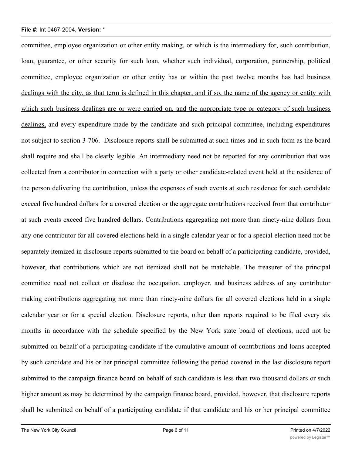committee, employee organization or other entity making, or which is the intermediary for, such contribution, loan, guarantee, or other security for such loan, whether such individual, corporation, partnership, political committee, employee organization or other entity has or within the past twelve months has had business dealings with the city, as that term is defined in this chapter, and if so, the name of the agency or entity with which such business dealings are or were carried on, and the appropriate type or category of such business dealings, and every expenditure made by the candidate and such principal committee, including expenditures not subject to section 3-706. Disclosure reports shall be submitted at such times and in such form as the board shall require and shall be clearly legible. An intermediary need not be reported for any contribution that was collected from a contributor in connection with a party or other candidate-related event held at the residence of the person delivering the contribution, unless the expenses of such events at such residence for such candidate exceed five hundred dollars for a covered election or the aggregate contributions received from that contributor at such events exceed five hundred dollars. Contributions aggregating not more than ninety-nine dollars from any one contributor for all covered elections held in a single calendar year or for a special election need not be separately itemized in disclosure reports submitted to the board on behalf of a participating candidate, provided, however, that contributions which are not itemized shall not be matchable. The treasurer of the principal committee need not collect or disclose the occupation, employer, and business address of any contributor making contributions aggregating not more than ninety-nine dollars for all covered elections held in a single calendar year or for a special election. Disclosure reports, other than reports required to be filed every six months in accordance with the schedule specified by the New York state board of elections, need not be submitted on behalf of a participating candidate if the cumulative amount of contributions and loans accepted by such candidate and his or her principal committee following the period covered in the last disclosure report submitted to the campaign finance board on behalf of such candidate is less than two thousand dollars or such higher amount as may be determined by the campaign finance board, provided, however, that disclosure reports shall be submitted on behalf of a participating candidate if that candidate and his or her principal committee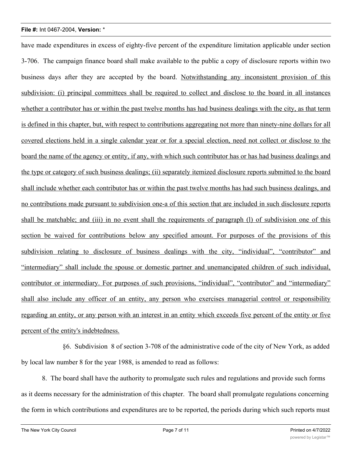have made expenditures in excess of eighty-five percent of the expenditure limitation applicable under section 3-706. The campaign finance board shall make available to the public a copy of disclosure reports within two business days after they are accepted by the board. Notwithstanding any inconsistent provision of this subdivision: (i) principal committees shall be required to collect and disclose to the board in all instances whether a contributor has or within the past twelve months has had business dealings with the city, as that term is defined in this chapter, but, with respect to contributions aggregating not more than ninety-nine dollars for all covered elections held in a single calendar year or for a special election, need not collect or disclose to the board the name of the agency or entity, if any, with which such contributor has or has had business dealings and the type or category of such business dealings; (ii) separately itemized disclosure reports submitted to the board shall include whether each contributor has or within the past twelve months has had such business dealings, and no contributions made pursuant to subdivision one-a of this section that are included in such disclosure reports shall be matchable; and (iii) in no event shall the requirements of paragraph (l) of subdivision one of this section be waived for contributions below any specified amount. For purposes of the provisions of this subdivision relating to disclosure of business dealings with the city, "individual", "contributor" and "intermediary" shall include the spouse or domestic partner and unemancipated children of such individual, contributor or intermediary. For purposes of such provisions, "individual", "contributor" and "intermediary" shall also include any officer of an entity, any person who exercises managerial control or responsibility regarding an entity, or any person with an interest in an entity which exceeds five percent of the entity or five percent of the entity's indebtedness.

§6. Subdivision 8 of section 3-708 of the administrative code of the city of New York, as added by local law number 8 for the year 1988, is amended to read as follows:

8. The board shall have the authority to promulgate such rules and regulations and provide such forms as it deems necessary for the administration of this chapter. The board shall promulgate regulations concerning the form in which contributions and expenditures are to be reported, the periods during which such reports must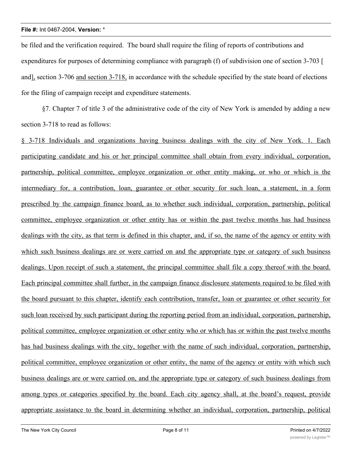be filed and the verification required. The board shall require the filing of reports of contributions and expenditures for purposes of determining compliance with paragraph (f) of subdivision one of section 3-703 [ and], section 3-706 and section 3-718, in accordance with the schedule specified by the state board of elections for the filing of campaign receipt and expenditure statements.

§7. Chapter 7 of title 3 of the administrative code of the city of New York is amended by adding a new section 3-718 to read as follows:

§ 3-718 Individuals and organizations having business dealings with the city of New York. 1. Each participating candidate and his or her principal committee shall obtain from every individual, corporation, partnership, political committee, employee organization or other entity making, or who or which is the intermediary for, a contribution, loan, guarantee or other security for such loan, a statement, in a form prescribed by the campaign finance board, as to whether such individual, corporation, partnership, political committee, employee organization or other entity has or within the past twelve months has had business dealings with the city, as that term is defined in this chapter, and, if so, the name of the agency or entity with which such business dealings are or were carried on and the appropriate type or category of such business dealings. Upon receipt of such a statement, the principal committee shall file a copy thereof with the board. Each principal committee shall further, in the campaign finance disclosure statements required to be filed with the board pursuant to this chapter, identify each contribution, transfer, loan or guarantee or other security for such loan received by such participant during the reporting period from an individual, corporation, partnership, political committee, employee organization or other entity who or which has or within the past twelve months has had business dealings with the city, together with the name of such individual, corporation, partnership, political committee, employee organization or other entity, the name of the agency or entity with which such business dealings are or were carried on, and the appropriate type or category of such business dealings from among types or categories specified by the board. Each city agency shall, at the board's request, provide appropriate assistance to the board in determining whether an individual, corporation, partnership, political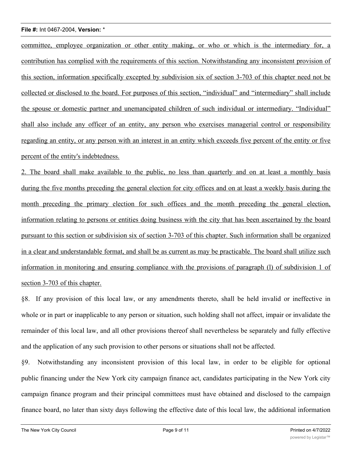committee, employee organization or other entity making, or who or which is the intermediary for, a contribution has complied with the requirements of this section. Notwithstanding any inconsistent provision of this section, information specifically excepted by subdivision six of section 3-703 of this chapter need not be collected or disclosed to the board. For purposes of this section, "individual" and "intermediary" shall include the spouse or domestic partner and unemancipated children of such individual or intermediary. "Individual" shall also include any officer of an entity, any person who exercises managerial control or responsibility regarding an entity, or any person with an interest in an entity which exceeds five percent of the entity or five percent of the entity's indebtedness.

2. The board shall make available to the public, no less than quarterly and on at least a monthly basis during the five months preceding the general election for city offices and on at least a weekly basis during the month preceding the primary election for such offices and the month preceding the general election, information relating to persons or entities doing business with the city that has been ascertained by the board pursuant to this section or subdivision six of section 3-703 of this chapter. Such information shall be organized in a clear and understandable format, and shall be as current as may be practicable. The board shall utilize such information in monitoring and ensuring compliance with the provisions of paragraph (l) of subdivision 1 of section 3-703 of this chapter.

§8. If any provision of this local law, or any amendments thereto, shall be held invalid or ineffective in whole or in part or inapplicable to any person or situation, such holding shall not affect, impair or invalidate the remainder of this local law, and all other provisions thereof shall nevertheless be separately and fully effective and the application of any such provision to other persons or situations shall not be affected.

§9. Notwithstanding any inconsistent provision of this local law, in order to be eligible for optional public financing under the New York city campaign finance act, candidates participating in the New York city campaign finance program and their principal committees must have obtained and disclosed to the campaign finance board, no later than sixty days following the effective date of this local law, the additional information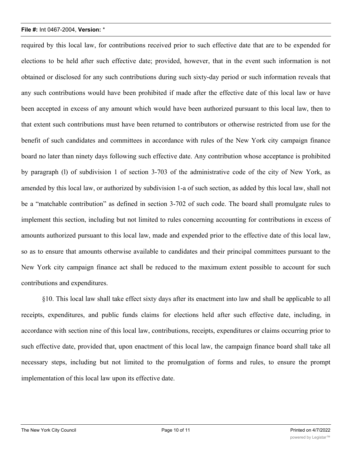required by this local law, for contributions received prior to such effective date that are to be expended for elections to be held after such effective date; provided, however, that in the event such information is not obtained or disclosed for any such contributions during such sixty-day period or such information reveals that any such contributions would have been prohibited if made after the effective date of this local law or have been accepted in excess of any amount which would have been authorized pursuant to this local law, then to that extent such contributions must have been returned to contributors or otherwise restricted from use for the benefit of such candidates and committees in accordance with rules of the New York city campaign finance board no later than ninety days following such effective date. Any contribution whose acceptance is prohibited by paragraph (l) of subdivision 1 of section 3-703 of the administrative code of the city of New York, as amended by this local law, or authorized by subdivision 1-a of such section, as added by this local law, shall not be a "matchable contribution" as defined in section 3-702 of such code. The board shall promulgate rules to implement this section, including but not limited to rules concerning accounting for contributions in excess of amounts authorized pursuant to this local law, made and expended prior to the effective date of this local law, so as to ensure that amounts otherwise available to candidates and their principal committees pursuant to the New York city campaign finance act shall be reduced to the maximum extent possible to account for such contributions and expenditures.

§10. This local law shall take effect sixty days after its enactment into law and shall be applicable to all receipts, expenditures, and public funds claims for elections held after such effective date, including, in accordance with section nine of this local law, contributions, receipts, expenditures or claims occurring prior to such effective date, provided that, upon enactment of this local law, the campaign finance board shall take all necessary steps, including but not limited to the promulgation of forms and rules, to ensure the prompt implementation of this local law upon its effective date.